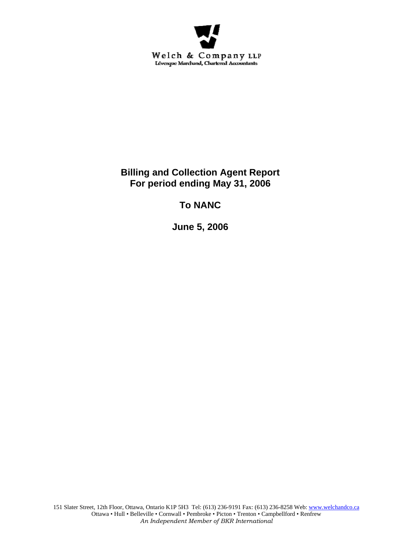

# **Billing and Collection Agent Report For period ending May 31, 2006**

# **To NANC**

**June 5, 2006**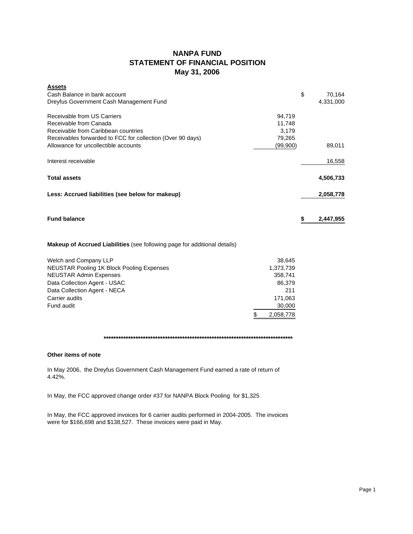# **NANPA FUND STATEMENT OF FINANCIAL POSITION May 31, 2006**

| <b>Assets</b>                                                                    |           |    |           |
|----------------------------------------------------------------------------------|-----------|----|-----------|
| Cash Balance in bank account                                                     |           | \$ | 70,164    |
| Dreyfus Government Cash Management Fund                                          |           |    | 4,331,000 |
| Receivable from US Carriers                                                      | 94,719    |    |           |
| Receivable from Canada                                                           | 11,748    |    |           |
| Receivable from Caribbean countries                                              | 3,179     |    |           |
| Receivables forwarded to FCC for collection (Over 90 days)                       | 79,265    |    |           |
| Allowance for uncollectible accounts                                             | (99,900)  |    | 89,011    |
| Interest receivable                                                              |           |    | 16,558    |
| <b>Total assets</b>                                                              |           |    | 4,506,733 |
| Less: Accrued liabilities (see below for makeup)                                 |           |    | 2,058,778 |
| <b>Fund balance</b>                                                              |           | S  | 2,447,955 |
| <b>Makeup of Accrued Liabilities</b> (see following page for additional details) |           |    |           |
| Welch and Company LLP                                                            | 38.645    |    |           |
| NELISTAR Rooling 1K Block Rooling Expenses                                       | 1 272 720 |    |           |

| <b>NEUSTAR Pooling 1K Block Pooling Expenses</b> | 1,373,739 |
|--------------------------------------------------|-----------|
|                                                  |           |
| <b>NEUSTAR Admin Expenses</b>                    | 358.741   |
| Data Collection Agent - USAC                     | 86,379    |
| Data Collection Agent - NECA                     | 211       |
| Carrier audits                                   | 171,063   |
| Fund audit                                       | 30,000    |
|                                                  | 2,058,778 |
|                                                  |           |

## **\*\*\*\*\*\*\*\*\*\*\*\*\*\*\*\*\*\*\*\*\*\*\*\*\*\*\*\*\*\*\*\*\*\*\*\*\*\*\*\*\*\*\*\*\*\*\*\*\*\*\*\*\*\*\*\*\*\*\*\*\*\*\*\*\*\*\*\*\*\*\*\*\*\*\*\*\***

## **Other items of note**

In May 2006, the Dreyfus Government Cash Management Fund earned a rate of return of 4.42%.

In May, the FCC approved change order #37 for NANPA Block Pooling for \$1,325

In May, the FCC approved invoices for 6 carrier audits performed in 2004-2005. The invoices were for \$166,698 and \$138,527. These invoices were paid in May.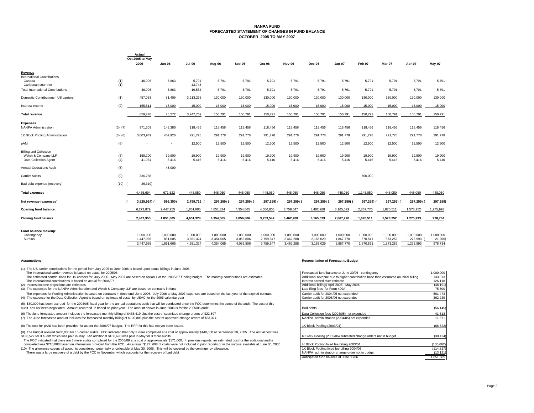#### **NANPA FUND FORECASTED STATEMENT OF CHANGES IN FUND BALANCEOCTOBER 2005 TO MAY 2007**

|                                                                               |            | Actual<br>Oct 2005 to May |                                   |                        |                                   |                                   |                        |                        |                        |                                   |                          |                      |                      |                     |
|-------------------------------------------------------------------------------|------------|---------------------------|-----------------------------------|------------------------|-----------------------------------|-----------------------------------|------------------------|------------------------|------------------------|-----------------------------------|--------------------------|----------------------|----------------------|---------------------|
|                                                                               |            | 2006                      | Jun-06                            | <b>Jul-06</b>          | Aug-06                            | Sep-06                            | Oct-06                 | <b>Nov-06</b>          | Dec-06                 | $Jan-07$                          | Feb-07                   | Mar-07               | Apr-07               | Mav-07              |
| Revenue                                                                       |            |                           |                                   |                        |                                   |                                   |                        |                        |                        |                                   |                          |                      |                      |                     |
| <b>International Contributions</b><br>Canada<br>Caribbean countries           | (1)<br>(1) | 46,906<br>$\sim$          | 5,863<br>$\overline{\phantom{a}}$ | 5,791<br>13,743        | 5,791<br>$\overline{\phantom{a}}$ | 5,791<br>$\overline{\phantom{a}}$ | 5,791                  | 5,791                  | 5,791                  | 5,791<br>$\overline{\phantom{a}}$ | 5,791                    | 5,791                | 5,791                | 5,791               |
| <b>Total International Contributions</b>                                      |            | 46,906                    | 5,863                             | 19,534                 | 5,791                             | 5,791                             | 5,791                  | 5,791                  | 5,791                  | 5,791                             | 5,791                    | 5,791                | 5,791                | 5,791               |
| Domestic Contributions - US carriers                                          | (1)        | 457,053                   | 51,409                            | 3,213,235              | 130,000                           | 130,000                           | 130,000                | 130,000                | 130,000                | 130,000                           | 130,000                  | 130,000              | 130,000              | 130,000             |
| Interest income                                                               | (2)        | 155,811                   | 18,000                            | 15,000                 | 15,000                            | 15,000                            | 15,000                 | 15,000                 | 15,000                 | 15,000                            | 15,000                   | 15,000               | 15,000               | 15,000              |
| <b>Total revenue</b>                                                          |            | 659,770                   | 75,272                            | 3,247,769              | 150,791                           | 150,791                           | 150,791                | 150,791                | 150,791                | 150,791                           | 150,791                  | 150,791              | 150,791              | 150,791             |
| <b>Expenses</b><br><b>NANPA Administration</b>                                | (3), (7)   | 971,503                   | 143,380                           | 118,456                | 118,456                           | 118,456                           | 118,456                | 118,456                | 118,456                | 118,456                           | 118,456                  | 118,456              | 118,456              | 118,456             |
| 1K Block Pooling Administration                                               | (3), (6)   | 3,003,949                 | 457,926                           | 291,778                | 291,778                           | 291,778                           | 291,778                | 291,778                | 291,778                | 291,778                           | 291,778                  | 291,778              | 291,778              | 291,778             |
| pANI                                                                          | (8)        |                           |                                   | 12,500                 | 12,500                            | 12,500                            | 12,500                 | 12,500                 | 12,500                 | 12,500                            | 12,500                   | 12,500               | 12,500               | 12,500              |
| <b>Billing and Collection</b><br>Welch & Company LLP<br>Data Collection Agent | (3)<br>(4) | 159,200<br>41,064         | 19,900<br>5,416                   | 19,900<br>5,416        | 19,900<br>5,416                   | 19,900<br>5,416                   | 19,900<br>5,416        | 19,900<br>5,416        | 19,900<br>5,416        | 19,900<br>5,416                   | 19,900<br>5,416          | 19,900<br>5,416      | 19,900<br>5,416      | 19,900<br>5,416     |
| <b>Annual Operations Audit</b>                                                | (5)        |                           | 45,000                            |                        | ٠                                 |                                   |                        |                        |                        |                                   | $\overline{\phantom{a}}$ |                      |                      |                     |
| <b>Carrier Audits</b>                                                         | (9)        | 336,288                   |                                   |                        |                                   |                                   |                        |                        |                        | $\overline{\phantom{a}}$          | 700,000                  |                      |                      |                     |
| Bad debt expense (recovery)                                                   | (10)       | 26,310)                   |                                   |                        |                                   |                                   |                        |                        |                        |                                   |                          |                      |                      |                     |
| <b>Total expenses</b>                                                         |            | 4,485,694                 | 671,622                           | 448,050                | 448,050                           | 448,050                           | 448,050                | 448,050                | 448,050                | 448,050                           | 1,148,050                | 448,050              | 448,050              | 448,050             |
| Net revenue (expenses)                                                        |            | 3,825,924)                | 596,350)                          | 2,799,719              | 297,259)                          | 297,259)                          | 297,259)               | 297,259) (             | 297,259) (             | 297,259) (                        | 997,259)                 | 297,259)             | 297,259)             | 297,259)            |
| <b>Opening fund balance</b>                                                   |            | 6.273.879                 | 2,447,955                         | 1,851,605              | 4,651,324                         | 4,354,065                         | 4,056,806              | 3,759,547              | 3,462,288              | 3,165,029                         | 2,867,770                | 1,870,511            | 1,573,252            | 1,275,993           |
| <b>Closing fund balance</b>                                                   |            | 2,447,955                 | 1,851,605                         | 4,651,324              | 4,354,065                         | 4,056,806                         | 3,759,547              | 3,462,288              | 3,165,029              | 2,867,770                         | 1,870,511                | 1,573,252            | 1,275,993            | 978,734             |
| Fund balance makeup:                                                          |            |                           |                                   |                        |                                   |                                   |                        |                        |                        |                                   |                          |                      |                      |                     |
| Contingency<br>Surplus                                                        |            | 1,000,000<br>1,447,955    | 1,000,000<br>851,605              | 1,000,000<br>3,651,324 | 1,000,000<br>3,354,065            | 1,000,000<br>3,056,806            | 1,000,000<br>2,759,547 | 1,000,000<br>2,462,288 | 1,000,000<br>2,165,029 | 1,000,000<br>1,867,770            | 1,000,000<br>870.511     | 1,000,000<br>573,252 | 1,000,000<br>275,993 | 1,000,000<br>21,266 |
|                                                                               |            | 2.447.955                 | 1,851,605                         | 4,651,324              | 4,354,065                         | 4,056,806                         | 3,759,547              | 3.462.288              | 3,165,029              | 2,867,770                         | 1,870,511                | 1,573,252            | 1,275,993            | 978,734             |

(1) The US carrier contributions for the period from July 2005 to June 2006 is based upon actual billings in June 2005. The International carrier revenue is based on actual for 2005/06.

**Actual**

- (6) The June forecasted amount includes the forecasted monthly billing of \$435,419 plus the cost of submitted change orders of \$22,507
- (7) The June forecasted amount includes the forecasted monthly billing of \$120,006 plus the cost of approved change orders of \$23,374.

#### **Assumptions: Reconciliation of Forecast to Budget**

| The International carrier revenue is based on actual for 2005/06.                                                                                                                   | Forecasted fund balance at June 30/06 - contingency                                  | 1,000,000  |
|-------------------------------------------------------------------------------------------------------------------------------------------------------------------------------------|--------------------------------------------------------------------------------------|------------|
| The estimated contributions for US carriers for July 2006 - May 2007 are based on option 1 of the 2006/07 funding budget. The monthly contributions are estimates.                  | Additional revenue due to higher contribution base than estimated on initial billing | 133,073    |
| The International contributions is based on actual for 2006/07.                                                                                                                     | Interest earned over estimate                                                        | 126,118    |
| (2) Interest income projections are estimates                                                                                                                                       | Additional billings April 2005 - May 2006                                            | (48, 191)  |
| (3) The expenses for the NANPA Administration and Welch & Company LLP are based on contracts in force                                                                               | Late filing fees for Form 499A                                                       | 75,500     |
| The expenses for Pooling Administration is based on contracts in force until June 2006. July 2006 to May 2007 expenses are based on the last year of the expired contract.          | Carrier audit for 2004/05 not expended                                               | 561.473    |
| (4) The expense for the Data Collection Agent is based on estimate of costs by USAC for the 2006 calendar year                                                                      | Carrier audit for 2005/06 not expended                                               | 362,239    |
| (5) \$30,000 has been accrued for the 2004/05 fiscal year for the annual operations audit that will be conducted once the FCC determines the scope of the audit. The cost of this   |                                                                                      |            |
| audit has not been negotiated. Amount recorded is based on prior year. The amount shown in June 2006 is for the 2005/06 audit.                                                      | <b>Bad debts</b>                                                                     | (56, 145)  |
| (6) The June forecasted amount includes the forecasted monthly billing of \$435,419 plus the cost of submitted change orders of \$22,507                                            | Data Collection fees (2004/05) not expended                                          | 41,613     |
|                                                                                                                                                                                     |                                                                                      |            |
| (7) The June forecasted amount includes the forecasted monthly billing of \$120,006 plus the cost of approved change orders of \$23,374.                                            | NANPA administration (2004/05) not expended                                          | 11,571     |
| (8) The cost for pANI has been provided for as per the 2006/07 budget. The RFP for this has not yet been issued.                                                                    | 1K Block Pooling (2003/04)                                                           | (66, 622)  |
|                                                                                                                                                                                     |                                                                                      |            |
| (9) The budget allowed \$700,000 for 16 carrier audits. FCC indicated that only 3 were completed at a cost of approximately \$140,000 at September 30, 2005. The actual cost was    |                                                                                      |            |
| \$138,527 for 3 audits which was paid in May. IAn additional \$166,698 was paid in May for 3 more audits.                                                                           | Ik Block Pooling (2005/06) submitted change orders not in budget                     | (30, 424)  |
| The FCC indicated that there are 3 more audits completed for the 2005/06 at a cost of approximately \$171,000. In previous reports, an estimated cost for the additional audits     |                                                                                      |            |
| completed was \$210,000 based on information provided from the FCC. As a result \$127, 698 of costs were not included in prior reports or in the surplus available at June 30, 2006 | IK Block Pooling fixed fee billing 2003/04                                           | (130, 662) |
| (10) The allowance covers all accounts considered potentially uncollectible at May 30, 2006. This will be covered by the contingency allowance.                                     | 1K Block Pooling fixed fee billing 2004/05                                           | (114, 817) |
| There was a large recovery of a debt by the FCC in November which accounts for the recovery of bad debt                                                                             | NANPA administration change order not in budge                                       | (13, 121)  |
|                                                                                                                                                                                     | Anticipated fund balance at June 30/06                                               | 1,851,605  |
|                                                                                                                                                                                     |                                                                                      |            |